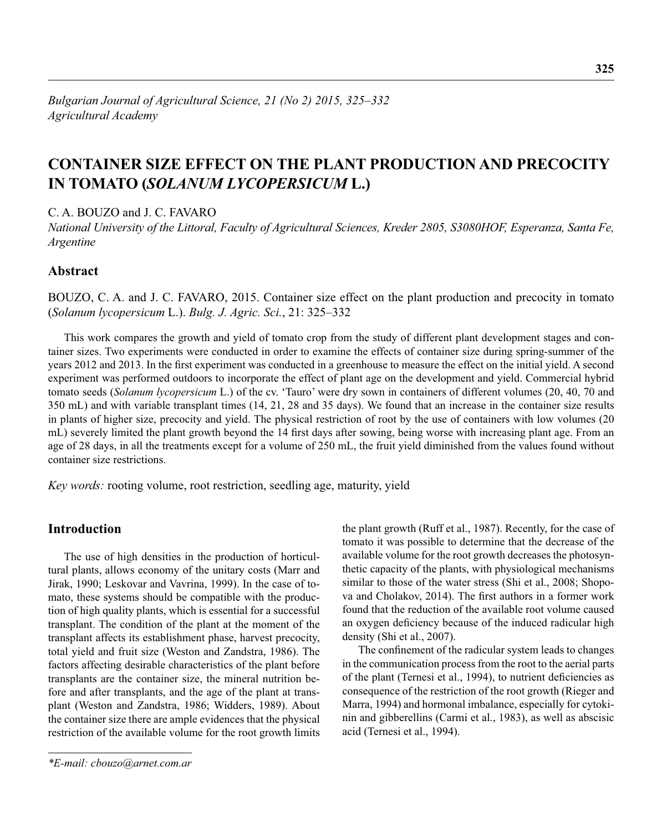# **CONTAINER SIZE EFFECT ON THE PLANT PRODUCTION AND PRECOCITY IN TOMATO (***SOLANUM LYCOPERSICUM* **L.)**

C. A. BOUZO and J. C. FAVARO

*National University of the Littoral, Faculty of Agricultural Sciences, Kreder 2805, S3080HOF, Esperanza, Santa Fe, Argentine* 

# **Abstract**

BOUZO, C. A. and J. C. FAVARO, 2015. Container size effect on the plant production and precocity in tomato (*Solanum lycopersicum* L.). *Bulg. J. Agric. Sci.*, 21: 325–332

This work compares the growth and yield of tomato crop from the study of different plant development stages and container sizes. Two experiments were conducted in order to examine the effects of container size during spring-summer of the years 2012 and 2013. In the first experiment was conducted in a greenhouse to measure the effect on the initial yield. A second experiment was performed outdoors to incorporate the effect of plant age on the development and yield. Commercial hybrid tomato seeds (*Solanum lycopersicum* L.) of the cv. 'Tauro' were dry sown in containers of different volumes (20, 40, 70 and 350 mL) and with variable transplant times (14, 21, 28 and 35 days). We found that an increase in the container size results in plants of higher size, precocity and yield. The physical restriction of root by the use of containers with low volumes (20 mL) severely limited the plant growth beyond the 14 first days after sowing, being worse with increasing plant age. From an age of 28 days, in all the treatments except for a volume of 250 mL, the fruit yield diminished from the values found without container size restrictions.

*Key words:* rooting volume, root restriction, seedling age, maturity, yield

# **Introduction**

The use of high densities in the production of horticultural plants, allows economy of the unitary costs (Marr and Jirak, 1990; Leskovar and Vavrina, 1999). In the case of tomato, these systems should be compatible with the production of high quality plants, which is essential for a successful transplant. The condition of the plant at the moment of the transplant affects its establishment phase, harvest precocity, total yield and fruit size (Weston and Zandstra, 1986). The factors affecting desirable characteristics of the plant before transplants are the container size, the mineral nutrition before and after transplants, and the age of the plant at transplant (Weston and Zandstra, 1986; Widders, 1989). About the container size there are ample evidences that the physical restriction of the available volume for the root growth limits

*\*E-mail: cbouzo@arnet.com.ar*

the plant growth (Ruff et al., 1987). Recently, for the case of tomato it was possible to determine that the decrease of the available volume for the root growth decreases the photosynthetic capacity of the plants, with physiological mechanisms similar to those of the water stress (Shi et al., 2008; Shopova and Cholakov, 2014). The first authors in a former work found that the reduction of the available root volume caused an oxygen deficiency because of the induced radicular high density (Shi et al., 2007).

The confinement of the radicular system leads to changes in the communication process from the root to the aerial parts of the plant (Ternesi et al., 1994), to nutrient deficiencies as consequence of the restriction of the root growth (Rieger and Marra, 1994) and hormonal imbalance, especially for cytokinin and gibberellins (Carmi et al., 1983), as well as abscisic acid (Ternesi et al., 1994).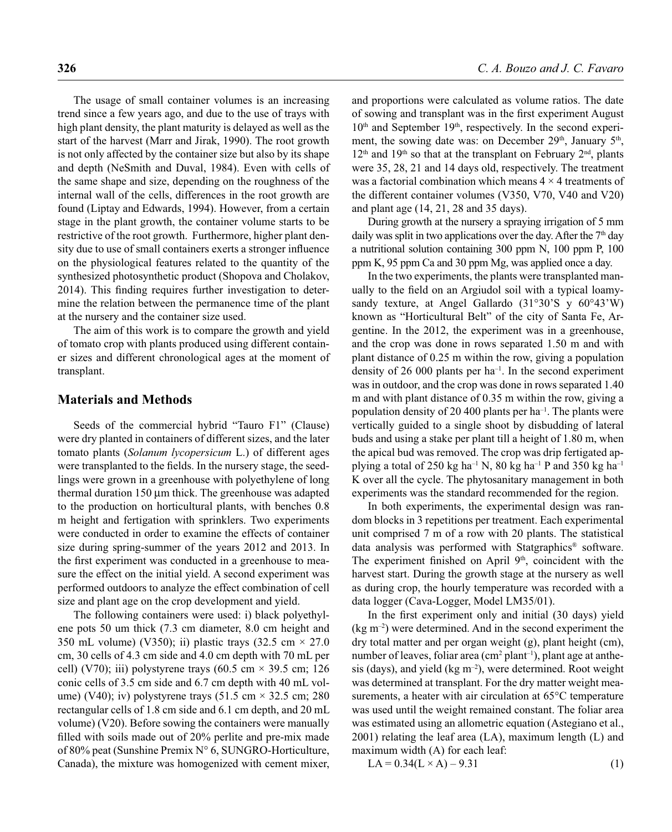The usage of small container volumes is an increasing trend since a few years ago, and due to the use of trays with high plant density, the plant maturity is delayed as well as the start of the harvest (Marr and Jirak, 1990). The root growth is not only affected by the container size but also by its shape and depth (NeSmith and Duval, 1984). Even with cells of the same shape and size, depending on the roughness of the internal wall of the cells, differences in the root growth are found (Liptay and Edwards, 1994). However, from a certain stage in the plant growth, the container volume starts to be restrictive of the root growth. Furthermore, higher plant density due to use of small containers exerts a stronger influence on the physiological features related to the quantity of the synthesized photosynthetic product (Shopova and Cholakov, 2014). This finding requires further investigation to determine the relation between the permanence time of the plant at the nursery and the container size used.

The aim of this work is to compare the growth and yield of tomato crop with plants produced using different container sizes and different chronological ages at the moment of transplant.

### **Materials and Methods**

Seeds of the commercial hybrid "Tauro F1" (Clause) were dry planted in containers of different sizes, and the later tomato plants (*Solanum lycopersicum* L.) of different ages were transplanted to the fields. In the nursery stage, the seedlings were grown in a greenhouse with polyethylene of long thermal duration 150 μm thick. The greenhouse was adapted to the production on horticultural plants, with benches 0.8 m height and fertigation with sprinklers. Two experiments were conducted in order to examine the effects of container size during spring-summer of the years 2012 and 2013. In the first experiment was conducted in a greenhouse to measure the effect on the initial yield. A second experiment was performed outdoors to analyze the effect combination of cell size and plant age on the crop development and yield.

The following containers were used: i) black polyethylene pots 50 um thick (7.3 cm diameter, 8.0 cm height and 350 mL volume) (V350); ii) plastic trays (32.5 cm  $\times$  27.0 cm, 30 cells of 4.3 cm side and 4.0 cm depth with 70 mL per cell) (V70); iii) polystyrene trays (60.5 cm  $\times$  39.5 cm; 126 conic cells of 3.5 cm side and 6.7 cm depth with 40 mL volume) (V40); iv) polystyrene trays (51.5 cm  $\times$  32.5 cm; 280 rectangular cells of 1.8 cm side and 6.1 cm depth, and 20 mL volume) (V20). Before sowing the containers were manually filled with soils made out of 20% perlite and pre-mix made of 80% peat (Sunshine Premix N° 6, SUNGRO-Horticulture, Canada), the mixture was homogenized with cement mixer, and proportions were calculated as volume ratios. The date of sowing and transplant was in the first experiment August 10<sup>th</sup> and September 19<sup>th</sup>, respectively. In the second experiment, the sowing date was: on December 29<sup>th</sup>, January 5<sup>th</sup>,  $12<sup>th</sup>$  and  $19<sup>th</sup>$  so that at the transplant on February  $2<sup>nd</sup>$ , plants were 35, 28, 21 and 14 days old, respectively. The treatment was a factorial combination which means  $4 \times 4$  treatments of the different container volumes (V350, V70, V40 and V20) and plant age (14, 21, 28 and 35 days).

During growth at the nursery a spraying irrigation of 5 mm daily was split in two applications over the day. After the  $7<sup>th</sup>$  day a nutritional solution containing 300 ppm N, 100 ppm P, 100 ppm K, 95 ppm Ca and 30 ppm Mg, was applied once a day.

In the two experiments, the plants were transplanted manually to the field on an Argiudol soil with a typical loamysandy texture, at Angel Gallardo (31°30'S y 60°43'W) known as "Horticultural Belt" of the city of Santa Fe, Argentine. In the 2012, the experiment was in a greenhouse, and the crop was done in rows separated 1.50 m and with plant distance of 0.25 m within the row, giving a population density of 26 000 plants per  $ha^{-1}$ . In the second experiment was in outdoor, and the crop was done in rows separated 1.40 m and with plant distance of 0.35 m within the row, giving a population density of 20 400 plants per ha<sup>-1</sup>. The plants were vertically guided to a single shoot by disbudding of lateral buds and using a stake per plant till a height of 1.80 m, when the apical bud was removed. The crop was drip fertigated applying a total of 250 kg ha<sup>-1</sup> N, 80 kg ha<sup>-1</sup> P and 350 kg ha<sup>-1</sup> K over all the cycle. The phytosanitary management in both experiments was the standard recommended for the region.

In both experiments, the experimental design was random blocks in 3 repetitions per treatment. Each experimental unit comprised 7 m of a row with 20 plants. The statistical data analysis was performed with Statgraphics® software. The experiment finished on April 9<sup>th</sup>, coincident with the harvest start. During the growth stage at the nursery as well as during crop, the hourly temperature was recorded with a data logger (Cava-Logger, Model LM35/01).

In the first experiment only and initial (30 days) yield  $(\text{kg m}^{-2})$  were determined. And in the second experiment the dry total matter and per organ weight (g), plant height (cm), number of leaves, foliar area  $(cm<sup>2</sup> plant<sup>-1</sup>)$ , plant age at anthesis (days), and yield ( $kg \, \text{m}^{-2}$ ), were determined. Root weight was determined at transplant. For the dry matter weight measurements, a heater with air circulation at 65°C temperature was used until the weight remained constant. The foliar area was estimated using an allometric equation (Astegiano et al., 2001) relating the leaf area (LA), maximum length (L) and maximum width (A) for each leaf:

$$
LA = 0.34(L \times A) - 9.31
$$
 (1)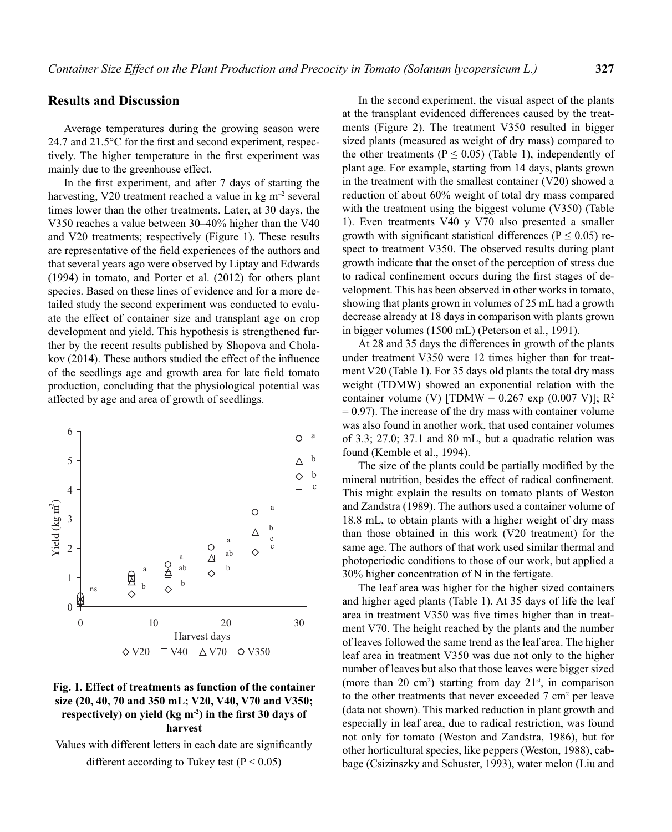### **Results and Discussion**

Average temperatures during the growing season were 24.7 and  $21.5^{\circ}$ C for the first and second experiment, respectively. The higher temperature in the first experiment was mainly due to the greenhouse effect.

In the first experiment, and after 7 days of starting the harvesting, V20 treatment reached a value in  $kg \, \text{m}^{-2}$  several times lower than the other treatments. Later, at 30 days, the V350 reaches a value between 30–40% higher than the V40 and V20 treatments; respectively (Figure 1). These results are representative of the field experiences of the authors and that several years ago were observed by Liptay and Edwards (1994) in tomato, and Porter et al. (2012) for others plant species. Based on these lines of evidence and for a more detailed study the second experiment was conducted to evaluate the effect of container size and transplant age on crop development and yield. This hypothesis is strengthened further by the recent results published by Shopova and Cholakov  $(2014)$ . These authors studied the effect of the influence of the seedlings age and growth area for late field tomato production, concluding that the physiological potential was affected by age and area of growth of seedlings.



# **Fig. 1. Effect of treatments as function of the container size (20, 40, 70 and 350 mL; V20, V40, V70 and V350;**  respectively) on yield (kg m<sup>-2</sup>) in the first 30 days of **harvest**

Values with different letters in each date are significantly different according to Tukey test  $(P < 0.05)$ 

In the second experiment, the visual aspect of the plants at the transplant evidenced differences caused by the treatments (Figure 2). The treatment V350 resulted in bigger sized plants (measured as weight of dry mass) compared to the other treatments ( $P \le 0.05$ ) (Table 1), independently of plant age. For example, starting from 14 days, plants grown in the treatment with the smallest container (V20) showed a reduction of about 60% weight of total dry mass compared with the treatment using the biggest volume (V350) (Table 1). Even treatments V40 y V70 also presented a smaller growth with significant statistical differences ( $P \le 0.05$ ) respect to treatment V350. The observed results during plant growth indicate that the onset of the perception of stress due to radical confinement occurs during the first stages of development. This has been observed in other works in tomato, showing that plants grown in volumes of 25 mL had a growth decrease already at 18 days in comparison with plants grown in bigger volumes (1500 mL) (Peterson et al., 1991).

At 28 and 35 days the differences in growth of the plants under treatment V350 were 12 times higher than for treatment V20 (Table 1). For 35 days old plants the total dry mass weight (TDMW) showed an exponential relation with the container volume (V) [TDMW =  $0.267$  exp  $(0.007 \text{ V})$ ]; R<sup>2</sup>  $= 0.97$ ). The increase of the dry mass with container volume was also found in another work, that used container volumes of 3.3; 27.0; 37.1 and 80 mL, but a quadratic relation was found (Kemble et al., 1994).

The size of the plants could be partially modified by the mineral nutrition, besides the effect of radical confinement. This might explain the results on tomato plants of Weston and Zandstra (1989). The authors used a container volume of 18.8 mL, to obtain plants with a higher weight of dry mass than those obtained in this work (V20 treatment) for the same age. The authors of that work used similar thermal and photoperiodic conditions to those of our work, but applied a 30% higher concentration of N in the fertigate.

The leaf area was higher for the higher sized containers and higher aged plants (Table 1). At 35 days of life the leaf area in treatment V350 was five times higher than in treatment V70. The height reached by the plants and the number of leaves followed the same trend as the leaf area. The higher leaf area in treatment V350 was due not only to the higher number of leaves but also that those leaves were bigger sized (more than 20 cm<sup>2</sup>) starting from day  $21<sup>st</sup>$ , in comparison to the other treatments that never exceeded  $7 \text{ cm}^2$  per leave (data not shown). This marked reduction in plant growth and especially in leaf area, due to radical restriction, was found not only for tomato (Weston and Zandstra, 1986), but for other horticultural species, like peppers (Weston, 1988), cabbage (Csizinszky and Schuster, 1993), water melon (Liu and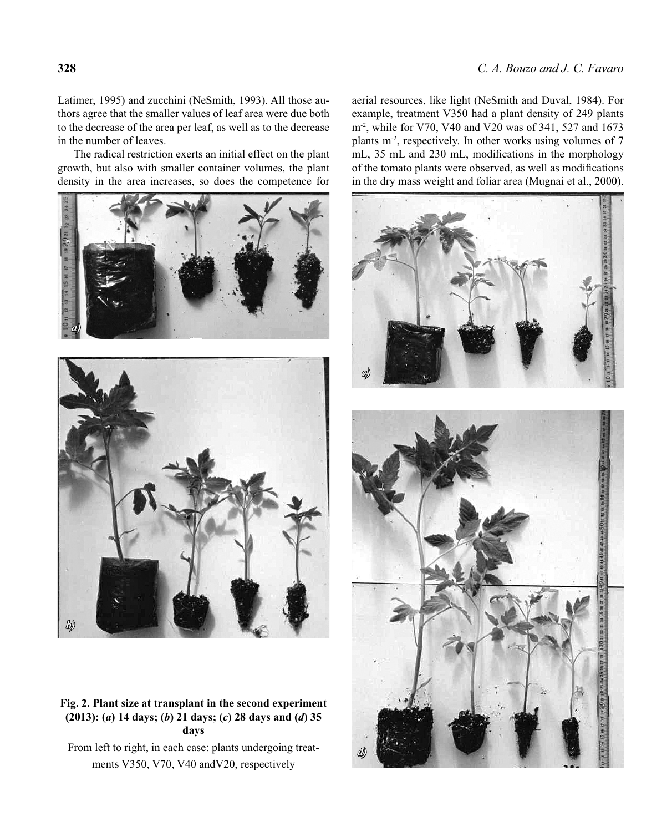Latimer, 1995) and zucchini (NeSmith, 1993). All those authors agree that the smaller values of leaf area were due both to the decrease of the area per leaf, as well as to the decrease in the number of leaves.

The radical restriction exerts an initial effect on the plant growth, but also with smaller container volumes, the plant density in the area increases, so does the competence for





**Fig. 2. Plant size at transplant in the second experiment (2013): (***a***) 14 days; (***b***) 21 days; (***c***) 28 days and (***d***) 35 days**

From left to right, in each case: plants undergoing treatments V350, V70, V40 andV20, respectively

aerial resources, like light (NeSmith and Duval, 1984). For example, treatment V350 had a plant density of 249 plants m-2, while for V70, V40 and V20 was of 341, 527 and 1673 plants m<sup>-2</sup>, respectively. In other works using volumes of 7 mL, 35 mL and 230 mL, modifications in the morphology of the tomato plants were observed, as well as modifications in the dry mass weight and foliar area (Mugnai et al., 2000).

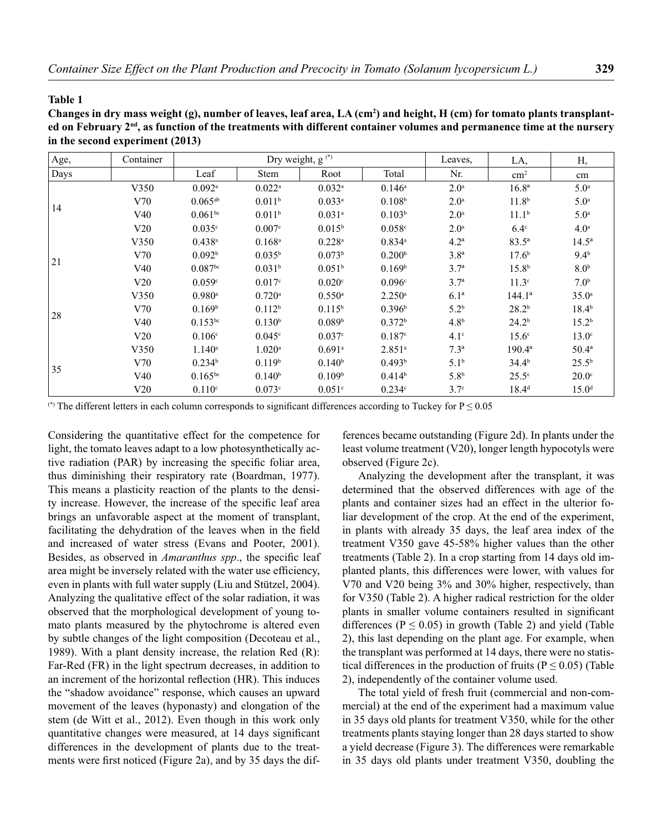#### **Table 1**

**Changes in dry mass weight (g), number of leaves, leaf area, LA (cm2 ) and height, H (cm) for tomato plants transplanted on February 2nd, as function of the treatments with different container volumes and permanence time at the nursery in the second experiment (2013)**

| Age, | Container |                       | Dry weight, g <sup>(*)</sup> |                      | Leaves,              | LA,              | Н,                |                   |
|------|-----------|-----------------------|------------------------------|----------------------|----------------------|------------------|-------------------|-------------------|
| Days |           | Leaf                  | <b>Stem</b>                  | Root                 | Total                | Nr.              | $\rm cm^2$        | cm                |
| 14   | V350      | $0.092$ <sup>a</sup>  | $0.022$ <sup>a</sup>         | $0.032$ <sup>a</sup> | $0.146^{\rm a}$      | 2.0 <sup>a</sup> | 16.8 <sup>a</sup> | 5.0 <sup>a</sup>  |
|      | V70       | $0.065^{ab}$          | 0.011 <sup>b</sup>           | 0.033a               | 0.108 <sup>b</sup>   | 2.0 <sup>a</sup> | 11.8 <sup>b</sup> | 5.0 <sup>a</sup>  |
|      | V40       | $0.061^{bc}$          | 0.011 <sup>b</sup>           | $0.031$ <sup>a</sup> | 0.103 <sup>b</sup>   | 2.0 <sup>a</sup> | 11.1 <sup>b</sup> | 5.0 <sup>a</sup>  |
|      | V20       | 0.035c                | 0.007c                       | $0.015^{b}$          | 0.058c               | 2.0 <sup>a</sup> | $6.4^\circ$       | 4.0 <sup>a</sup>  |
| 21   | V350      | $0.438$ <sup>a</sup>  | $0.168$ <sup>a</sup>         | $0.228$ <sup>a</sup> | $0.834$ <sup>a</sup> | 4.2 <sup>a</sup> | $83.5^{\circ}$    | $14.5^{\circ}$    |
|      | V70       | 0.092 <sup>b</sup>    | $0.035^{b}$                  | 0.073 <sup>b</sup>   | 0.200 <sup>b</sup>   | 3.8 <sup>a</sup> | 17.6 <sup>b</sup> | $9.4^{\rm b}$     |
|      | V40       | $0.087$ <sup>bc</sup> | 0.031 <sup>b</sup>           | 0.051 <sup>b</sup>   | 0.169 <sup>b</sup>   | 3.7 <sup>a</sup> | 15.8 <sup>b</sup> | 8.0 <sup>b</sup>  |
|      | V20       | 0.059c                | 0.017c                       | 0.020c               | 0.096c               | 3.7 <sup>a</sup> | 11.3 <sup>c</sup> | 7.0 <sup>b</sup>  |
| 28   | V350      | $0.980$ <sup>a</sup>  | $0.720$ <sup>a</sup>         | $0.550$ <sup>a</sup> | $2.250^{\rm a}$      | 6.1 <sup>a</sup> | $144.1^a$         | $35.0^{\circ}$    |
|      | V70       | 0.169 <sup>b</sup>    | 0.112 <sup>b</sup>           | $0.115^{b}$          | 0.396 <sup>b</sup>   | $5.2^{b}$        | 28.2 <sup>b</sup> | $18.4^{b}$        |
|      | V40       | $0.153^{bc}$          | 0.130 <sup>b</sup>           | 0.089 <sup>b</sup>   | 0.372 <sup>b</sup>   | 4.8 <sup>b</sup> | 24.2 <sup>b</sup> | 15.2 <sup>b</sup> |
|      | V20       | 0.106 <sup>c</sup>    | $0.045^{\circ}$              | 0.037c               | 0.187c               | $4.1^\circ$      | 15.6 <sup>c</sup> | $13.0^\circ$      |
| 35   | V350      | $1.140^a$             | $1.020$ <sup>a</sup>         | $0.691$ <sup>a</sup> | 2.851 <sup>a</sup>   | $7.3^{\rm a}$    | $190.4^{\circ}$   | $50.4^{\circ}$    |
|      | V70       | 0.234 <sup>b</sup>    | 0.119 <sup>b</sup>           | 0.140 <sup>b</sup>   | 0.493 <sup>b</sup>   | $5.1^{\rm b}$    | 34.4 <sup>b</sup> | $25.5^{\rm b}$    |
|      | V40       | $0.165^{bc}$          | 0.140 <sup>b</sup>           | 0.109 <sup>b</sup>   | 0.414 <sup>b</sup>   | 5.8 <sup>b</sup> | $25.5^\circ$      | $20.0^\circ$      |
|      | V20       | 0.110c                | 0.073c                       | 0.051c               | 0.234c               | 3.7 <sup>c</sup> | $18.4^{d}$        | 15.0 <sup>d</sup> |

(\*) The different letters in each column corresponds to significant differences according to Tuckey for  $P \le 0.05$ 

Considering the quantitative effect for the competence for light, the tomato leaves adapt to a low photosynthetically active radiation (PAR) by increasing the specific foliar area, thus diminishing their respiratory rate (Boardman, 1977). This means a plasticity reaction of the plants to the density increase. However, the increase of the specific leaf area brings an unfavorable aspect at the moment of transplant, facilitating the dehydration of the leaves when in the field and increased of water stress (Evans and Pooter, 2001). Besides, as observed in *Amaranthus spp.*, the specific leaf area might be inversely related with the water use efficiency, even in plants with full water supply (Liu and Stützel, 2004). Analyzing the qualitative effect of the solar radiation, it was observed that the morphological development of young tomato plants measured by the phytochrome is altered even by subtle changes of the light composition (Decoteau et al., 1989). With a plant density increase, the relation Red (R): Far-Red (FR) in the light spectrum decreases, in addition to an increment of the horizontal reflection (HR). This induces the "shadow avoidance" response, which causes an upward movement of the leaves (hyponasty) and elongation of the stem (de Witt et al., 2012). Even though in this work only quantitative changes were measured, at 14 days significant differences in the development of plants due to the treatments were first noticed (Figure 2a), and by 35 days the differences became outstanding (Figure 2d). In plants under the least volume treatment (V20), longer length hypocotyls were observed (Figure 2c).

Analyzing the development after the transplant, it was determined that the observed differences with age of the plants and container sizes had an effect in the ulterior foliar development of the crop. At the end of the experiment, in plants with already 35 days, the leaf area index of the treatment V350 gave 45-58% higher values than the other treatments (Table 2). In a crop starting from 14 days old implanted plants, this differences were lower, with values for V70 and V20 being 3% and 30% higher, respectively, than for V350 (Table 2). A higher radical restriction for the older plants in smaller volume containers resulted in significant differences ( $P \le 0.05$ ) in growth (Table 2) and yield (Table 2), this last depending on the plant age. For example, when the transplant was performed at 14 days, there were no statistical differences in the production of fruits ( $P \le 0.05$ ) (Table 2), independently of the container volume used.

The total yield of fresh fruit (commercial and non-commercial) at the end of the experiment had a maximum value in 35 days old plants for treatment V350, while for the other treatments plants staying longer than 28 days started to show a yield decrease (Figure 3). The differences were remarkable in 35 days old plants under treatment V350, doubling the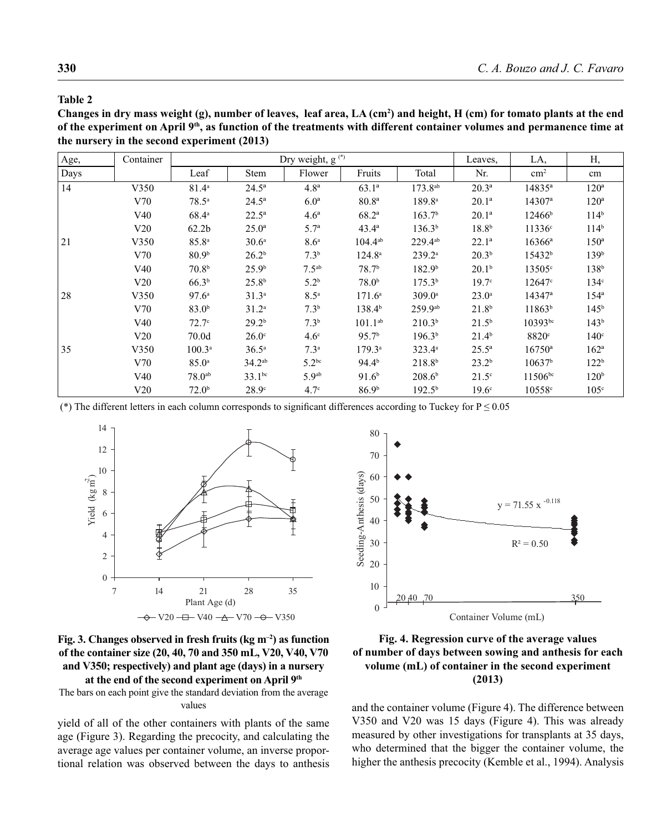#### **Table 2**

Changes in dry mass weight (g), number of leaves, leaf area, LA (cm<sup>2</sup>) and height, H (cm) for tomato plants at the end **of the experiment on April 9th, as function of the treatments with different container volumes and permanence time at the nursery in the second experiment (2013)** 

| Age, | Container | Dry weight, g <sup>(*)</sup> |                   |                   |                    |                     | Leaves,           | LA,                | Н,               |
|------|-----------|------------------------------|-------------------|-------------------|--------------------|---------------------|-------------------|--------------------|------------------|
| Days |           | Leaf                         | Stem              | Flower            | Fruits             | Total               | Nr.               | $\rm cm^2$         | cm               |
| 14   | V350      | $81.4^{\circ}$               | $24.5^{\rm a}$    | 4.8 <sup>a</sup>  | $63.1^{\circ}$     | 173.8 <sup>ab</sup> | $20.3^{\rm a}$    | $14835^{\circ}$    | $120^{\rm a}$    |
|      | V70       | $78.5^{\circ}$               | $24.5^{\circ}$    | 6.0 <sup>a</sup>  | 80.8 <sup>a</sup>  | 189.8 <sup>a</sup>  | $20.1^a$          | $14307^a$          | $120^{\rm a}$    |
|      | V40       | $68.4^{\circ}$               | $22.5^{\circ}$    | 4.6 <sup>a</sup>  | $68.2^{\rm a}$     | 163.7 <sup>b</sup>  | $20.1^a$          | $12466^{\rm b}$    | 114 <sup>b</sup> |
|      | V20       | 62.2 <sub>b</sub>            | $25.0^{\rm a}$    | 5.7 <sup>a</sup>  | $43.4^{\circ}$     | 136.3 <sup>b</sup>  | 18.8 <sup>b</sup> | $11336^{\circ}$    | 114 <sup>b</sup> |
| 21   | V350      | $85.8^{a}$                   | 30.6 <sup>a</sup> | 8.6 <sup>a</sup>  | $104.4^{ab}$       | $229.4^{ab}$        | $22.1^a$          | $16366^{\circ}$    | $150^{\circ}$    |
|      | V70       | 80.9 <sup>b</sup>            | 26.2 <sup>b</sup> | $7.3^{b}$         | $124.8^{\circ}$    | $239.2^a$           | $20.3^{b}$        | 15432 <sup>b</sup> | 139 <sup>b</sup> |
|      | V40       | 70.8 <sup>b</sup>            | 25.9 <sup>b</sup> | 7.5 <sup>ab</sup> | 78.7 <sup>b</sup>  | 182.9 <sup>b</sup>  | 20.1 <sup>b</sup> | 13505c             | 138 <sup>b</sup> |
|      | V20       | 66.3 <sup>b</sup>            | 25.8 <sup>b</sup> | 5.2 <sup>b</sup>  | 78.0 <sup>b</sup>  | 175.3 <sup>b</sup>  | 19.7 <sup>c</sup> | $12647$ °          | 134 <sup>c</sup> |
| 28   | V350      | 97.6 <sup>a</sup>            | 31.3 <sup>a</sup> | 8.5 <sup>a</sup>  | $171.6^a$          | 309.0a              | $23.0^{\circ}$    | $14347^a$          | $154^{\circ}$    |
|      | V70       | 83.0 <sup>b</sup>            | $31.2^a$          | $7.3^{b}$         | 138.4 <sup>b</sup> | 259.9ab             | 21.8 <sup>b</sup> | 11863 <sup>b</sup> | 145 <sup>b</sup> |
|      | V40       | 72.7 <sup>c</sup>            | 29.2 <sup>b</sup> | $7.3^{b}$         | $101.1^{ab}$       | 210.3 <sup>b</sup>  | $21.5^{b}$        | $10393^{bc}$       | 143 <sup>b</sup> |
|      | V20       | 70.0d                        | $26.0^\circ$      | 4.6 <sup>c</sup>  | 95.7 <sup>b</sup>  | 196.3 <sup>b</sup>  | $21.4^{b}$        | 8820 <sup>c</sup>  | $140^\circ$      |
| 35   | V350      | $100.3^a$                    | $36.5^{\circ}$    | 7.3 <sup>a</sup>  | $179.3^{\circ}$    | $323.4^a$           | $25.5^{\circ}$    | $16750^{\circ}$    | $162^{\rm a}$    |
|      | V70       | $85.0^{\circ}$               | $34.2^{ab}$       | $5.2^{bc}$        | 94.4 <sup>b</sup>  | $218.8^{b}$         | $23.2^{b}$        | 10637 <sup>b</sup> | 122 <sup>b</sup> |
|      | V40       | $78.0^{ab}$                  | $33.1^{bc}$       | 5.9 <sup>ab</sup> | 91.6 <sup>b</sup>  | 208.6 <sup>b</sup>  | $21.5^\circ$      | $11506^{bc}$       | 120 <sup>b</sup> |
|      | V20       | 72.0 <sup>b</sup>            | 28.9 <sup>c</sup> | $4.7^\circ$       | 86.9 <sup>b</sup>  | $192.5^{\rm b}$     | 19.6 <sup>c</sup> | 10558c             | 105 <sup>c</sup> |

(\*) The different letters in each column corresponds to significant differences according to Tuckey for  $P \le 0.05$ 





The bars on each point give the standard deviation from the average values

yield of all of the other containers with plants of the same age (Figure 3). Regarding the precocity, and calculating the average age values per container volume, an inverse proportional relation was observed between the days to anthesis



# **Fig. 4. Regression curve of the average values of number of days between sowing and anthesis for each volume (mL) of container in the second experiment (2013)**

and the container volume (Figure 4). The difference between V350 and V20 was 15 days (Figure 4). This was already measured by other investigations for transplants at 35 days, who determined that the bigger the container volume, the higher the anthesis precocity (Kemble et al., 1994). Analysis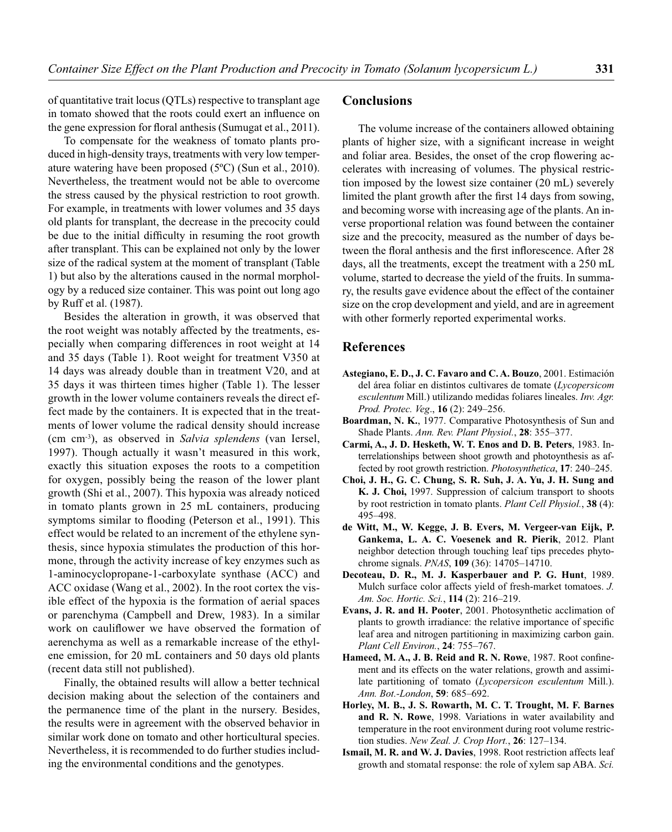of quantitative trait locus (QTLs) respective to transplant age in tomato showed that the roots could exert an influence on the gene expression for floral anthesis (Sumugat et al., 2011).

To compensate for the weakness of tomato plants produced in high-density trays, treatments with very low temperature watering have been proposed (5ºC) (Sun et al., 2010). Nevertheless, the treatment would not be able to overcome the stress caused by the physical restriction to root growth. For example, in treatments with lower volumes and 35 days old plants for transplant, the decrease in the precocity could be due to the initial difficulty in resuming the root growth after transplant. This can be explained not only by the lower size of the radical system at the moment of transplant (Table 1) but also by the alterations caused in the normal morphology by a reduced size container. This was point out long ago by Ruff et al. (1987).

Besides the alteration in growth, it was observed that the root weight was notably affected by the treatments, especially when comparing differences in root weight at 14 and 35 days (Table 1). Root weight for treatment V350 at 14 days was already double than in treatment V20, and at 35 days it was thirteen times higher (Table 1). The lesser growth in the lower volume containers reveals the direct effect made by the containers. It is expected that in the treatments of lower volume the radical density should increase (cm cm-3), as observed in *Salvia splendens* (van Iersel, 1997). Though actually it wasn't measured in this work, exactly this situation exposes the roots to a competition for oxygen, possibly being the reason of the lower plant growth (Shi et al., 2007). This hypoxia was already noticed in tomato plants grown in 25 mL containers, producing symptoms similar to flooding (Peterson et al., 1991). This effect would be related to an increment of the ethylene synthesis, since hypoxia stimulates the production of this hormone, through the activity increase of key enzymes such as 1-aminocyclopropane-1-carboxylate synthase (ACC) and ACC oxidase (Wang et al., 2002). In the root cortex the visible effect of the hypoxia is the formation of aerial spaces or parenchyma (Campbell and Drew, 1983). In a similar work on cauliflower we have observed the formation of aerenchyma as well as a remarkable increase of the ethylene emission, for 20 mL containers and 50 days old plants (recent data still not published).

Finally, the obtained results will allow a better technical decision making about the selection of the containers and the permanence time of the plant in the nursery. Besides, the results were in agreement with the observed behavior in similar work done on tomato and other horticultural species. Nevertheless, it is recommended to do further studies including the environmental conditions and the genotypes.

# **Conclusions**

The volume increase of the containers allowed obtaining plants of higher size, with a significant increase in weight and foliar area. Besides, the onset of the crop flowering accelerates with increasing of volumes. The physical restriction imposed by the lowest size container (20 mL) severely limited the plant growth after the first 14 days from sowing, and becoming worse with increasing age of the plants. An inverse proportional relation was found between the container size and the precocity, measured as the number of days between the floral anthesis and the first inflorescence. After 28 days, all the treatments, except the treatment with a 250 mL volume, started to decrease the yield of the fruits. In summary, the results gave evidence about the effect of the container size on the crop development and yield, and are in agreement with other formerly reported experimental works.

### **References**

- **Astegiano, E. D., J. C. Favaro and C. A. Bouzo**, 2001. Estimación del área foliar en distintos cultivares de tomate (*Lycopersicom esculentum* Mill.) utilizando medidas foliares lineales. *Inv. Agr. Prod. Protec. Veg*., **16** (2): 249–256.
- **Boardman, N. K.**, 1977. Comparative Photosynthesis of Sun and Shade Plants. *Ann. Rev. Plant Physiol.*, **28**: 355–377.
- **Carmi, A., J. D. Hesketh, W. T. Enos and D. B. Peters**, 1983. Interrelationships between shoot growth and photoynthesis as affected by root growth restriction. *Photosynthetica*, **17**: 240–245.
- **Choi, J. H., G. C. Chung, S. R. Suh, J. A. Yu, J. H. Sung and K. J. Choi,** 1997. Suppression of calcium transport to shoots by root restriction in tomato plants. *Plant Cell Physiol.*, **38** (4): 495–498.
- **de Witt, M., W. Kegge, J. B. Evers, M. Vergeer-van Eijk, P. Gankema, L. A. C. Voesenek and R. Pierik**, 2012. Plant neighbor detection through touching leaf tips precedes phytochrome signals. *PNAS*, **109** (36): 14705–14710.
- **Decoteau, D. R., M. J. Kasperbauer and P. G. Hunt**, 1989. Mulch surface color affects yield of fresh-market tomatoes. *J. Am. Soc. Hortic. Sci.*, **114** (2): 216–219.
- **Evans, J. R. and H. Pooter**, 2001. Photosynthetic acclimation of plants to growth irradiance: the relative importance of specific leaf area and nitrogen partitioning in maximizing carbon gain. *Plant Cell Environ.*, **24**: 755–767.
- Hameed, M. A., J. B. Reid and R. N. Rowe, 1987. Root confinement and its effects on the water relations, growth and assimilate partitioning of tomato (*Lycopersicon esculentum* Mill.). *Ann. Bot.-London*, **59**: 685–692.
- **Horley, M. B., J. S. Rowarth, M. C. T. Trought, M. F. Barnes and R. N. Rowe**, 1998. Variations in water availability and temperature in the root environment during root volume restriction studies. *New Zeal. J. Crop Hort.*, **26**: 127–134.
- **Ismail, M. R. and W. J. Davies**, 1998. Root restriction affects leaf growth and stomatal response: the role of xylem sap ABA. *Sci.*